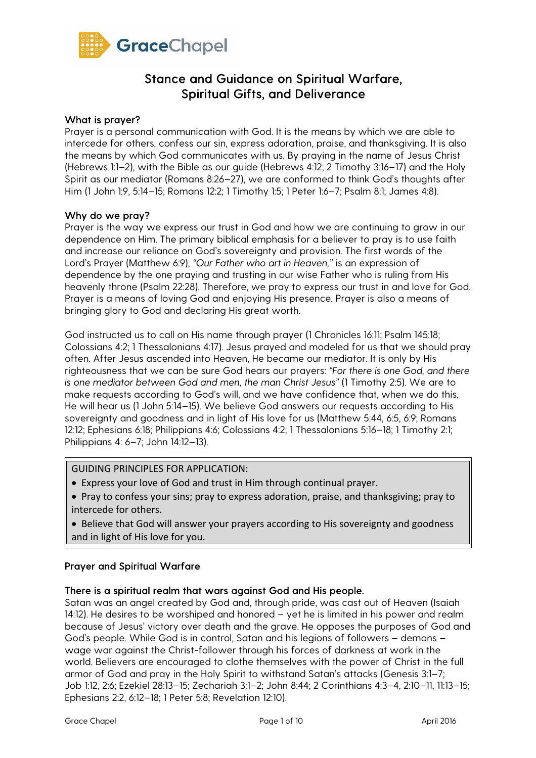

#### What is prayer?

Prayer is a personal communication with God. It is the means by which we are able to intercede for others, confess our sin, express adoration, praise, and thanksgiving. It is also the means by which God communicates with us. By praying in the name of Jesus Christ (Hebrews 1:1–2), with the Bible as our guide (Hebrews 4:12; 2 Timothy 3:16–17) and the Holy Spirit as our mediator (Romans 8:26–27), we are conformed to think God's thoughts after Him (1 John 1:9, 5:14–15; Romans 12:2; 1 Timothy 1:5; 1 Peter 1:6–7; Psalm 8:1; James 4:8).

#### Why do we pray?

Prayer is the way we express our trust in God and how we are continuing to grow in our dependence on Him. The primary biblical emphasis for a believer to pray is to use faith and increase our reliance on God's sovereignty and provision. The first words of the Lord's Prayer (Matthew 6:9), *"Our Father who art in Heaven,"* is an expression of dependence by the one praying and trusting in our wise Father who is ruling from His heavenly throne (Psalm 22:28). Therefore, we pray to express our trust in and love for God. Prayer is a means of loving God and enjoying His presence. Prayer is also a means of bringing glory to God and declaring His great worth.

God instructed us to call on His name through prayer (1 Chronicles 16:11; Psalm 145:18; Colossians 4:2; 1 Thessalonians 4:17). Jesus prayed and modeled for us that we should pray often. After Jesus ascended into Heaven, He became our mediator. It is only by His righteousness that we can be sure God hears our prayers: *"For there is one God, and there is one mediator between God and men, the man Christ Jesus"* (1 Timothy 2:5). We are to make requests according to God's will, and we have confidence that, when we do this, He will hear us (1 John 5:14–15). We believe God answers our requests according to His sovereignty and goodness and in light of His love for us (Matthew 5:44, 6:5, 6:9; Romans 12:12; Ephesians 6:18; Philippians 4:6; Colossians 4:2; 1 Thessalonians 5:16–18; 1 Timothy 2:1; Philippians 4: 6–7; John 14:12–13).

#### GUIDING PRINCIPLES FOR APPLICATION:

- Express your love of God and trust in Him through continual prayer.
- Pray to confess your sins; pray to express adoration, praise, and thanksgiving; pray to intercede for others.
- Believe that God will answer your prayers according to His sovereignty and goodness and in light of His love for you.

#### Prayer and Spiritual Warfare

#### There is a spiritual realm that wars against God and His people.

Satan was an angel created by God and, through pride, was cast out of Heaven (Isaiah 14:12). He desires to be worshiped and honored – yet he is limited in his power and realm because of Jesus' victory over death and the grave. He opposes the purposes of God and God's people. While God is in control, Satan and his legions of followers – demons – wage war against the Christ-follower through his forces of darkness at work in the world. Believers are encouraged to clothe themselves with the power of Christ in the full armor of God and pray in the Holy Spirit to withstand Satan's attacks (Genesis 3:1–7; Job 1:12, 2:6; Ezekiel 28:13–15; Zechariah 3:1–2; John 8:44; 2 Corinthians 4:3–4, 2:10–11, 11:13–15; Ephesians 2:2, 6:12–18; 1 Peter 5:8; Revelation 12:10).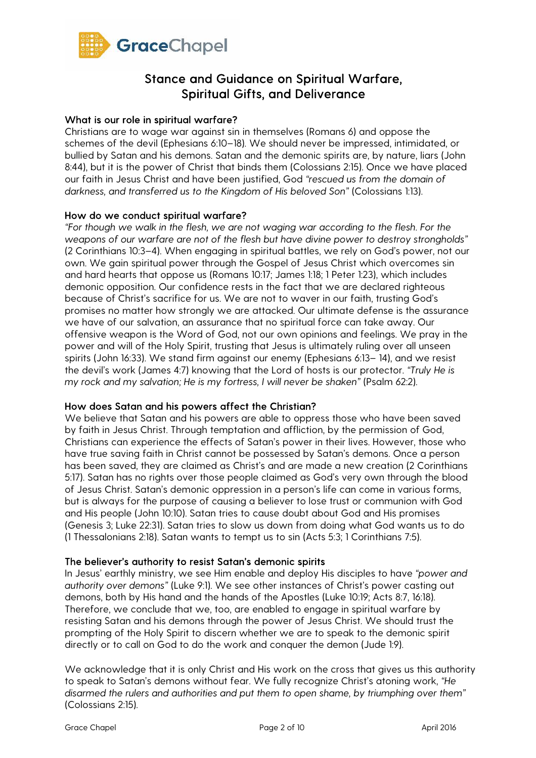

#### What is our role in spiritual warfare?

Christians are to wage war against sin in themselves (Romans 6) and oppose the schemes of the devil (Ephesians 6:10–18)*.* We should never be impressed, intimidated, or bullied by Satan and his demons. Satan and the demonic spirits are, by nature, liars (John 8:44), but it is the power of Christ that binds them (Colossians 2:15). Once we have placed our faith in Jesus Christ and have been justified, God *"rescued us from the domain of*  darkness, and transferred us to the Kingdom of His beloved Son" (Colossians 1:13).

#### How do we conduct spiritual warfare?

*"For though we walk in the flesh, we are not waging war according to the flesh. For the weapons of our warfare are not of the flesh but have divine power to destroy strongholds"*  (2 Corinthians 10:3–4). When engaging in spiritual battles, we rely on God's power, not our own. We gain spiritual power through the Gospel of Jesus Christ which overcomes sin and hard hearts that oppose us (Romans 10:17; James 1:18; 1 Peter 1:23), which includes demonic opposition. Our confidence rests in the fact that we are declared righteous because of Christ's sacrifice for us. We are not to waver in our faith, trusting God's promises no matter how strongly we are attacked. Our ultimate defense is the assurance we have of our salvation, an assurance that no spiritual force can take away. Our offensive weapon is the Word of God, not our own opinions and feelings. We pray in the power and will of the Holy Spirit, trusting that Jesus is ultimately ruling over all unseen spirits (John 16:33). We stand firm against our enemy (Ephesians 6:13– 14), and we resist the devil's work (James 4:7) knowing that the Lord of hosts is our protector. *"Truly He is my rock and my salvation; He is my fortress, I will never be shaken" (Psalm 62:2).* 

#### How does Satan and his powers affect the Christian?

We believe that Satan and his powers are able to oppress those who have been saved by faith in Jesus Christ. Through temptation and affliction, by the permission of God, Christians can experience the effects of Satan's power in their lives. However, those who have true saving faith in Christ cannot be possessed by Satan's demons. Once a person has been saved, they are claimed as Christ's and are made a new creation (2 Corinthians 5:17). Satan has no rights over those people claimed as God's very own through the blood of Jesus Christ. Satan's demonic oppression in a person's life can come in various forms, but is always for the purpose of causing a believer to lose trust or communion with God and His people (John 10:10). Satan tries to cause doubt about God and His promises (Genesis 3; Luke 22:31). Satan tries to slow us down from doing what God wants us to do (1 Thessalonians 2:18). Satan wants to tempt us to sin (Acts 5:3; 1 Corinthians 7:5).

#### The believer's authority to resist Satan's demonic spirits

In Jesus' earthly ministry, we see Him enable and deploy His disciples to have *"power and authority over demons"* (Luke 9:1)*.* We see other instances of Christ's power casting out demons, both by His hand and the hands of the Apostles (Luke 10:19; Acts 8:7, 16:18)*.*  Therefore, we conclude that we, too, are enabled to engage in spiritual warfare by resisting Satan and his demons through the power of Jesus Christ. We should trust the prompting of the Holy Spirit to discern whether we are to speak to the demonic spirit directly or to call on God to do the work and conquer the demon (Jude 1:9).

We acknowledge that it is only Christ and His work on the cross that gives us this authority to speak to Satan's demons without fear. We fully recognize Christ's atoning work, *"He disarmed the rulers and authorities and put them to open shame, by triumphing over them"*  (Colossians 2:15)*.*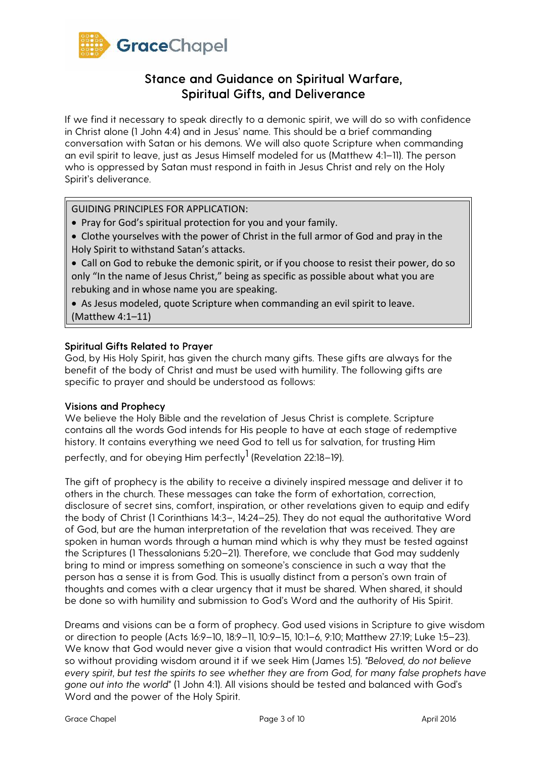

If we find it necessary to speak directly to a demonic spirit, we will do so with confidence in Christ alone (1 John 4:4) and in Jesus' name. This should be a brief commanding conversation with Satan or his demons. We will also quote Scripture when commanding an evil spirit to leave, just as Jesus Himself modeled for us (Matthew 4:1–11). The person who is oppressed by Satan must respond in faith in Jesus Christ and rely on the Holy Spirit's deliverance.

GUIDING PRINCIPLES FOR APPLICATION:

- Pray for God's spiritual protection for you and your family.
- Clothe yourselves with the power of Christ in the full armor of God and pray in the Holy Spirit to withstand Satan's attacks.
- Call on God to rebuke the demonic spirit, or if you choose to resist their power, do so only "In the name of Jesus Christ," being as specific as possible about what you are rebuking and in whose name you are speaking.
- As Jesus modeled, quote Scripture when commanding an evil spirit to leave. (Matthew 4:1–11)

### Spiritual Gifts Related to Prayer

God, by His Holy Spirit, has given the church many gifts. These gifts are always for the benefit of the body of Christ and must be used with humility. The following gifts are specific to prayer and should be understood as follows:

#### Visions and Prophecy

We believe the Holy Bible and the revelation of Jesus Christ is complete. Scripture contains all the words God intends for His people to have at each stage of redemptive history. It contains everything we need God to tell us for salvation, for trusting Him perfectly, and for obeying Him perfectly<sup>1</sup> (Revelation 22:18–19).

The gift of prophecy is the ability to receive a divinely inspired message and deliver it to others in the church. These messages can take the form of exhortation, correction, disclosure of secret sins, comfort, inspiration, or other revelations given to equip and edify the body of Christ (1 Corinthians 14:3–, 14:24–25). They do not equal the authoritative Word of God, but are the human interpretation of the revelation that was received. They are spoken in human words through a human mind which is why they must be tested against the Scriptures (1 Thessalonians 5:20–21). Therefore, we conclude that God may suddenly bring to mind or impress something on someone's conscience in such a way that the person has a sense it is from God. This is usually distinct from a person's own train of thoughts and comes with a clear urgency that it must be shared. When shared, it should be done so with humility and submission to God's Word and the authority of His Spirit.

Dreams and visions can be a form of prophecy. God used visions in Scripture to give wisdom or direction to people (Acts 16:9–10, 18:9–11, 10:9–15, 10:1–6, 9:10; Matthew 27:19; Luke 1:5–23). We know that God would never give a vision that would contradict His written Word or do so without providing wisdom around it if we seek Him (James 1:5). *"Beloved, do not believe every spirit, but test the spirits to see whether they are from God, for many false prophets have gone out into the world"* (1 John 4:1). All visions should be tested and balanced with God's Word and the power of the Holy Spirit.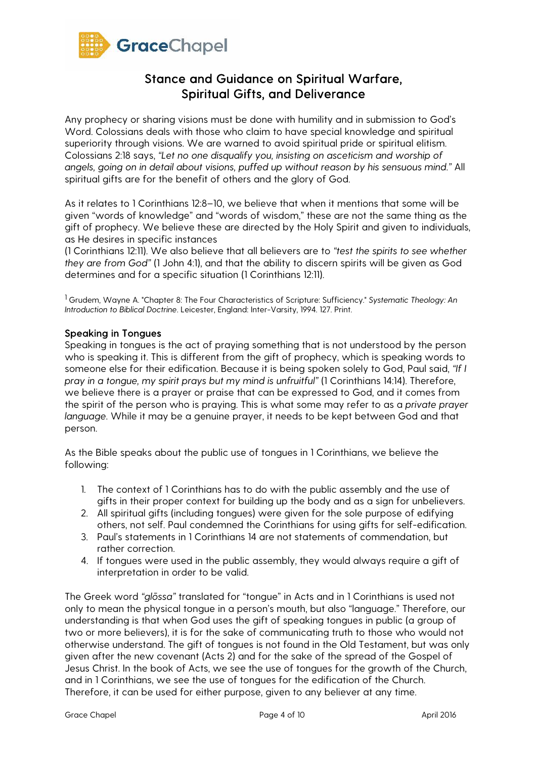

Any prophecy or sharing visions must be done with humility and in submission to God's Word. Colossians deals with those who claim to have special knowledge and spiritual superiority through visions. We are warned to avoid spiritual pride or spiritual elitism. Colossians 2:18 says, *"Let no one disqualify you, insisting on asceticism and worship of angels, going on in detail about visions, puffed up without reason by his sensuous mind."* All spiritual gifts are for the benefit of others and the glory of God.

As it relates to 1 Corinthians 12:8–10, we believe that when it mentions that some will be given "words of knowledge" and "words of wisdom," these are not the same thing as the gift of prophecy. We believe these are directed by the Holy Spirit and given to individuals, as He desires in specific instances

(1 Corinthians 12:11). We also believe that all believers are to *"test the spirits to see whether they are from God"* (1 John 4:1), and that the ability to discern spirits will be given as God determines and for a specific situation (1 Corinthians 12:11).

<sup>1</sup> Grudem, Wayne A. "Chapter 8: The Four Characteristics of Scripture: Sufficiency." Systematic Theology: An Introduction to Biblical Doctrine. Leicester, England: Inter-Varsity, 1994. 127. Print.

### Speaking in Tongues

Speaking in tongues is the act of praying something that is not understood by the person who is speaking it. This is different from the gift of prophecy, which is speaking words to someone else for their edification. Because it is being spoken solely to God, Paul said, *"If I pray in a tongue, my spirit prays but my mind is unfruitful"* (1 Corinthians 14:14). Therefore, we believe there is a prayer or praise that can be expressed to God, and it comes from the spirit of the person who is praying. This is what some may refer to as a *private prayer language.* While it may be a genuine prayer, it needs to be kept between God and that person.

As the Bible speaks about the public use of tongues in 1 Corinthians, we believe the following:

- 1. The context of 1 Corinthians has to do with the public assembly and the use of gifts in their proper context for building up the body and as a sign for unbelievers.
- 2. All spiritual gifts (including tongues) were given for the sole purpose of edifying others, not self. Paul condemned the Corinthians for using gifts for self-edification.
- 3. Paul's statements in 1 Corinthians 14 are not statements of commendation, but rather correction.
- 4. If tongues were used in the public assembly, they would always require a gift of interpretation in order to be valid.

The Greek word *"gl*ō*ssa"* translated for "tongue" in Acts and in 1 Corinthians is used not only to mean the physical tongue in a person's mouth, but also "language." Therefore, our understanding is that when God uses the gift of speaking tongues in public (a group of two or more believers), it is for the sake of communicating truth to those who would not otherwise understand. The gift of tongues is not found in the Old Testament, but was only given after the new covenant (Acts 2) and for the sake of the spread of the Gospel of Jesus Christ. In the book of Acts, we see the use of tongues for the growth of the Church, and in 1 Corinthians, we see the use of tongues for the edification of the Church. Therefore, it can be used for either purpose, given to any believer at any time.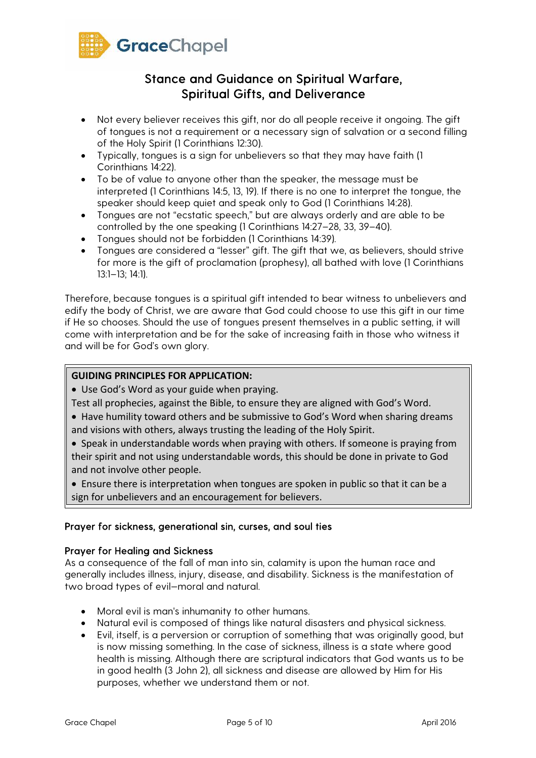

- Not every believer receives this gift, nor do all people receive it ongoing. The gift of tongues is not a requirement or a necessary sign of salvation or a second filling of the Holy Spirit (1 Corinthians 12:30).
- Typically, tongues is a sign for unbelievers so that they may have faith (1 Corinthians 14:22).
- To be of value to anyone other than the speaker, the message must be interpreted (1 Corinthians 14:5, 13, 19). If there is no one to interpret the tongue, the speaker should keep quiet and speak only to God (1 Corinthians 14:28).
- Tongues are not "ecstatic speech," but are always orderly and are able to be controlled by the one speaking (1 Corinthians 14:27–28, 33, 39–40).
- Tongues should not be forbidden (1 Corinthians 14:39)*.*
- Tongues are considered a "lesser" gift. The gift that we, as believers, should strive for more is the gift of proclamation (prophesy), all bathed with love (1 Corinthians 13:1–13; 14:1).

Therefore, because tongues is a spiritual gift intended to bear witness to unbelievers and edify the body of Christ, we are aware that God could choose to use this gift in our time if He so chooses. Should the use of tongues present themselves in a public setting, it will come with interpretation and be for the sake of increasing faith in those who witness it and will be for God's own glory.

## **GUIDING PRINCIPLES FOR APPLICATION:**

• Use God's Word as your guide when praying.

- Test all prophecies, against the Bible, to ensure they are aligned with God's Word.
- Have humility toward others and be submissive to God's Word when sharing dreams and visions with others, always trusting the leading of the Holy Spirit.
- Speak in understandable words when praying with others. If someone is praying from their spirit and not using understandable words, this should be done in private to God and not involve other people.
- Ensure there is interpretation when tongues are spoken in public so that it can be a sign for unbelievers and an encouragement for believers.

### Prayer for sickness, generational sin, curses, and soul ties

### Prayer for Healing and Sickness

As a consequence of the fall of man into sin, calamity is upon the human race and generally includes illness, injury, disease, and disability. Sickness is the manifestation of two broad types of evil—moral and natural.

- Moral evil is man's inhumanity to other humans.
- Natural evil is composed of things like natural disasters and physical sickness.
- Evil, itself, is a perversion or corruption of something that was originally good, but is now missing something. In the case of sickness, illness is a state where good health is missing. Although there are scriptural indicators that God wants us to be in good health (3 John 2), all sickness and disease are allowed by Him for His purposes, whether we understand them or not.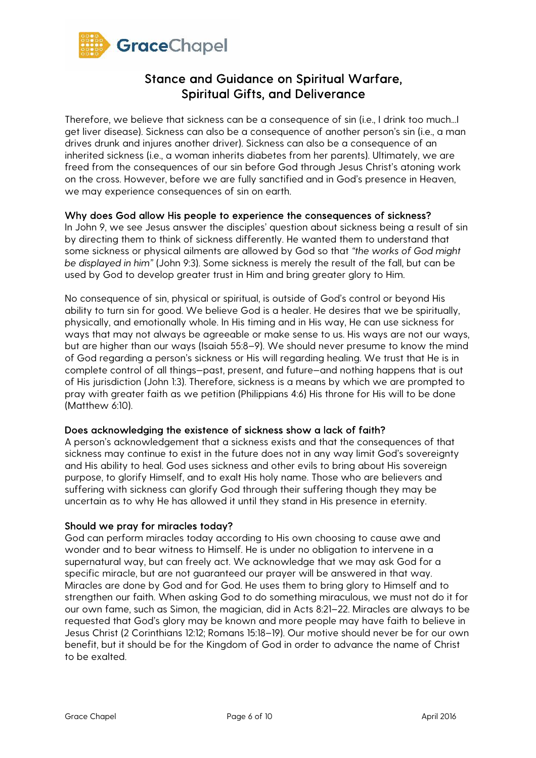

Therefore, we believe that sickness can be a consequence of sin (i.e., I drink too much...I get liver disease). Sickness can also be a consequence of another person's sin (i.e., a man drives drunk and injures another driver). Sickness can also be a consequence of an inherited sickness (i.e., a woman inherits diabetes from her parents). Ultimately, we are freed from the consequences of our sin before God through Jesus Christ's atoning work on the cross. However, before we are fully sanctified and in God's presence in Heaven, we may experience consequences of sin on earth.

### Why does God allow His people to experience the consequences of sickness?

In John 9, we see Jesus answer the disciples' question about sickness being a result of sin by directing them to think of sickness differently. He wanted them to understand that some sickness or physical ailments are allowed by God so that *"the works of God might be displayed in him"* (John 9:3). Some sickness is merely the result of the fall, but can be used by God to develop greater trust in Him and bring greater glory to Him.

No consequence of sin, physical or spiritual, is outside of God's control or beyond His ability to turn sin for good. We believe God is a healer. He desires that we be spiritually, physically, and emotionally whole. In His timing and in His way, He can use sickness for ways that may not always be agreeable or make sense to us. His ways are not our ways, but are higher than our ways (Isaiah 55:8–9). We should never presume to know the mind of God regarding a person's sickness or His will regarding healing. We trust that He is in complete control of all things—past, present, and future—and nothing happens that is out of His jurisdiction (John 1:3). Therefore, sickness is a means by which we are prompted to pray with greater faith as we petition (Philippians 4:6) His throne for His will to be done (Matthew 6:10).

### Does acknowledging the existence of sickness show a lack of faith?

A person's acknowledgement that a sickness exists and that the consequences of that sickness may continue to exist in the future does not in any way limit God's sovereignty and His ability to heal. God uses sickness and other evils to bring about His sovereign purpose, to glorify Himself, and to exalt His holy name. Those who are believers and suffering with sickness can glorify God through their suffering though they may be uncertain as to why He has allowed it until they stand in His presence in eternity.

#### Should we pray for miracles today?

God can perform miracles today according to His own choosing to cause awe and wonder and to bear witness to Himself. He is under no obligation to intervene in a supernatural way, but can freely act. We acknowledge that we may ask God for a specific miracle, but are not guaranteed our prayer will be answered in that way. Miracles are done by God and for God. He uses them to bring glory to Himself and to strengthen our faith. When asking God to do something miraculous, we must not do it for our own fame, such as Simon, the magician, did in Acts 8:21–22. Miracles are always to be requested that God's glory may be known and more people may have faith to believe in Jesus Christ (2 Corinthians 12:12; Romans 15:18–19). Our motive should never be for our own benefit, but it should be for the Kingdom of God in order to advance the name of Christ to be exalted.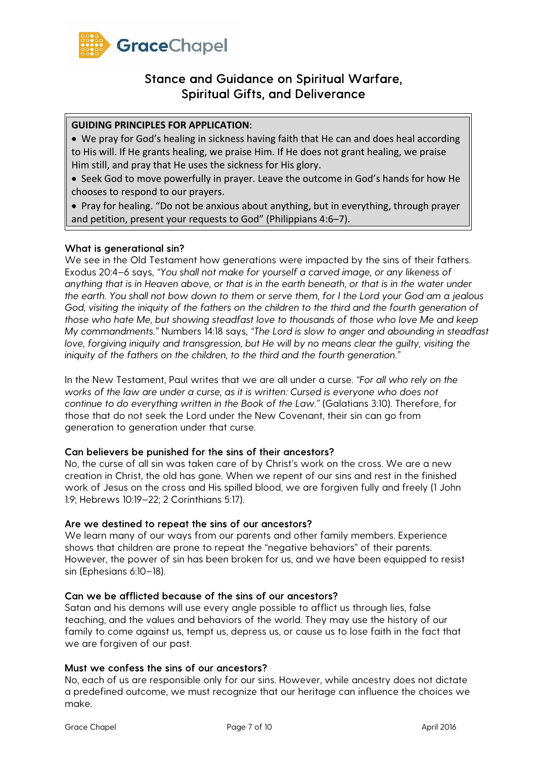

## **GUIDING PRINCIPLES FOR APPLICATION**:

• We pray for God's healing in sickness having faith that He can and does heal according to His will. If He grants healing, we praise Him. If He does not grant healing, we praise Him still, and pray that He uses the sickness for His glory.

• Seek God to move powerfully in prayer. Leave the outcome in God's hands for how He chooses to respond to our prayers.

• Pray for healing. "Do not be anxious about anything, but in everything, through prayer and petition, present your requests to God" (Philippians 4:6–7).

### What is generational sin?

We see in the Old Testament how generations were impacted by the sins of their fathers. Exodus 20:4–6 says, *"You shall not make for yourself a carved image, or any likeness of anything that is in Heaven above, or that is in the earth beneath, or that is in the water under the earth. You shall not bow down to them or serve them, for I the Lord your God am a jealous God, visiting the iniquity of the fathers on the children to the third and the fourth generation of those who hate Me, but showing steadfast love to thousands of those who love Me and keep My commandments."* Numbers 14:18 says, *"The Lord is slow to anger and abounding in steadfast love, forgiving iniquity and transgression, but He will by no means clear the guilty, visiting the iniquity of the fathers on the children, to the third and the fourth generation."* 

In the New Testament, Paul writes that we are all under a curse. *"For all who rely on the works of the law are under a curse, as it is written: Cursed is everyone who does not continue to do everything written in the Book of the Law."* (Galatians 3:10). Therefore, for those that do not seek the Lord under the New Covenant, their sin can go from generation to generation under that curse.

### Can believers be punished for the sins of their ancestors?

No, the curse of all sin was taken care of by Christ's work on the cross. We are a new creation in Christ, the old has gone. When we repent of our sins and rest in the finished work of Jesus on the cross and His spilled blood, we are forgiven fully and freely (1 John 1:9; Hebrews 10:19–22; 2 Corinthians 5:17).

### Are we destined to repeat the sins of our ancestors?

We learn many of our ways from our parents and other family members. Experience shows that children are prone to repeat the "negative behaviors" of their parents. However, the power of sin has been broken for us, and we have been equipped to resist sin (Ephesians 6:10–18).

### Can we be afflicted because of the sins of our ancestors?

Satan and his demons will use every angle possible to afflict us through lies, false teaching, and the values and behaviors of the world. They may use the history of our family to come against us, tempt us, depress us, or cause us to lose faith in the fact that we are forgiven of our past.

### Must we confess the sins of our ancestors?

No, each of us are responsible only for our sins. However, while ancestry does not dictate a predefined outcome, we must recognize that our heritage can influence the choices we make.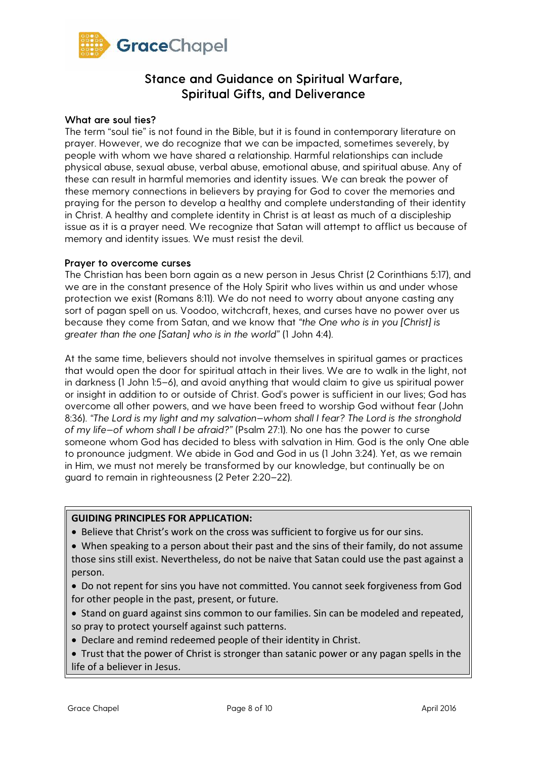

#### What are soul ties?

The term "soul tie" is not found in the Bible, but it is found in contemporary literature on prayer. However, we do recognize that we can be impacted, sometimes severely, by people with whom we have shared a relationship. Harmful relationships can include physical abuse, sexual abuse, verbal abuse, emotional abuse, and spiritual abuse. Any of these can result in harmful memories and identity issues. We can break the power of these memory connections in believers by praying for God to cover the memories and praying for the person to develop a healthy and complete understanding of their identity in Christ. A healthy and complete identity in Christ is at least as much of a discipleship issue as it is a prayer need. We recognize that Satan will attempt to afflict us because of memory and identity issues. We must resist the devil.

#### Prayer to overcome curses

The Christian has been born again as a new person in Jesus Christ (2 Corinthians 5:17), and we are in the constant presence of the Holy Spirit who lives within us and under whose protection we exist (Romans 8:11). We do not need to worry about anyone casting any sort of pagan spell on us. Voodoo, witchcraft, hexes, and curses have no power over us because they come from Satan, and we know that *"the One who is in you [Christ] is greater than the one [Satan] who is in the world"* (1 John 4:4).

At the same time, believers should not involve themselves in spiritual games or practices that would open the door for spiritual attach in their lives. We are to walk in the light, not in darkness (1 John 1:5–6), and avoid anything that would claim to give us spiritual power or insight in addition to or outside of Christ. God's power is sufficient in our lives; God has overcome all other powers, and we have been freed to worship God without fear (John 8:36). *"The Lord is my light and my salvation—whom shall I fear? The Lord is the stronghold of my life—of whom shall I be afraid?"* (Psalm 27:1). No one has the power to curse someone whom God has decided to bless with salvation in Him. God is the only One able to pronounce judgment. We abide in God and God in us (1 John 3:24). Yet, as we remain in Him, we must not merely be transformed by our knowledge, but continually be on guard to remain in righteousness (2 Peter 2:20–22).

## **GUIDING PRINCIPLES FOR APPLICATION:**

• Believe that Christ's work on the cross was sufficient to forgive us for our sins.

• When speaking to a person about their past and the sins of their family, do not assume those sins still exist. Nevertheless, do not be naive that Satan could use the past against a person.

• Do not repent for sins you have not committed. You cannot seek forgiveness from God for other people in the past, present, or future.

- Stand on guard against sins common to our families. Sin can be modeled and repeated, so pray to protect yourself against such patterns.
- Declare and remind redeemed people of their identity in Christ.
- Trust that the power of Christ is stronger than satanic power or any pagan spells in the life of a believer in Jesus.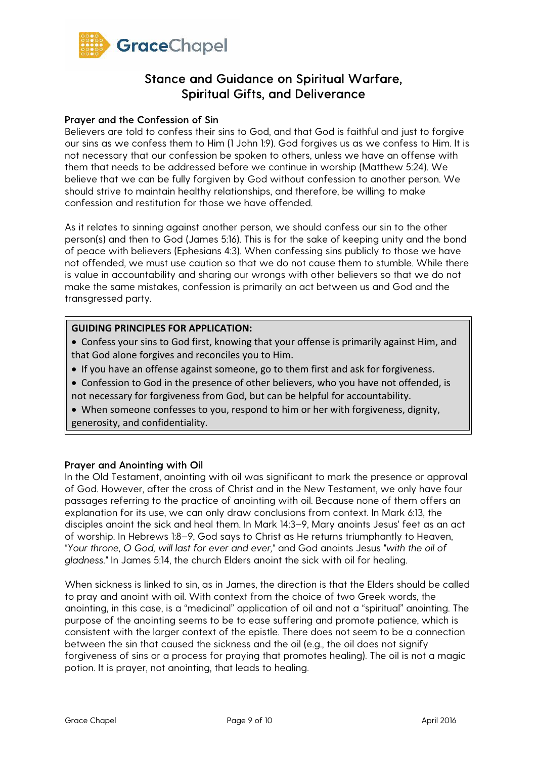

### Prayer and the Confession of Sin

Believers are told to confess their sins to God, and that God is faithful and just to forgive our sins as we confess them to Him (1 John 1:9). God forgives us as we confess to Him. It is not necessary that our confession be spoken to others, unless we have an offense with them that needs to be addressed before we continue in worship (Matthew 5:24). We believe that we can be fully forgiven by God without confession to another person. We should strive to maintain healthy relationships, and therefore, be willing to make confession and restitution for those we have offended.

As it relates to sinning against another person, we should confess our sin to the other person(s) and then to God (James 5:16). This is for the sake of keeping unity and the bond of peace with believers (Ephesians 4:3). When confessing sins publicly to those we have not offended, we must use caution so that we do not cause them to stumble. While there is value in accountability and sharing our wrongs with other believers so that we do not make the same mistakes, confession is primarily an act between us and God and the transgressed party.

#### **GUIDING PRINCIPLES FOR APPLICATION:**

- Confess your sins to God first, knowing that your offense is primarily against Him, and that God alone forgives and reconciles you to Him.
- If you have an offense against someone, go to them first and ask for forgiveness.
- Confession to God in the presence of other believers, who you have not offended, is not necessary for forgiveness from God, but can be helpful for accountability.
- When someone confesses to you, respond to him or her with forgiveness, dignity, generosity, and confidentiality.

### Prayer and Anointing with Oil

In the Old Testament, anointing with oil was significant to mark the presence or approval of God. However, after the cross of Christ and in the New Testament, we only have four passages referring to the practice of anointing with oil. Because none of them offers an explanation for its use, we can only draw conclusions from context. In Mark 6:13, the disciples anoint the sick and heal them. In Mark 14:3–9, Mary anoints Jesus' feet as an act of worship. In Hebrews 1:8–9, God says to Christ as He returns triumphantly to Heaven, *"Your throne, O God, will last for ever and ever,"* and God anoints Jesus *"with the oil of gladness."* In James 5:14, the church Elders anoint the sick with oil for healing.

When sickness is linked to sin, as in James, the direction is that the Elders should be called to pray and anoint with oil. With context from the choice of two Greek words, the anointing, in this case, is a "medicinal" application of oil and not a "spiritual" anointing. The purpose of the anointing seems to be to ease suffering and promote patience, which is consistent with the larger context of the epistle. There does not seem to be a connection between the sin that caused the sickness and the oil (e.g., the oil does not signify forgiveness of sins or a process for praying that promotes healing). The oil is not a magic potion. It is prayer, not anointing, that leads to healing.